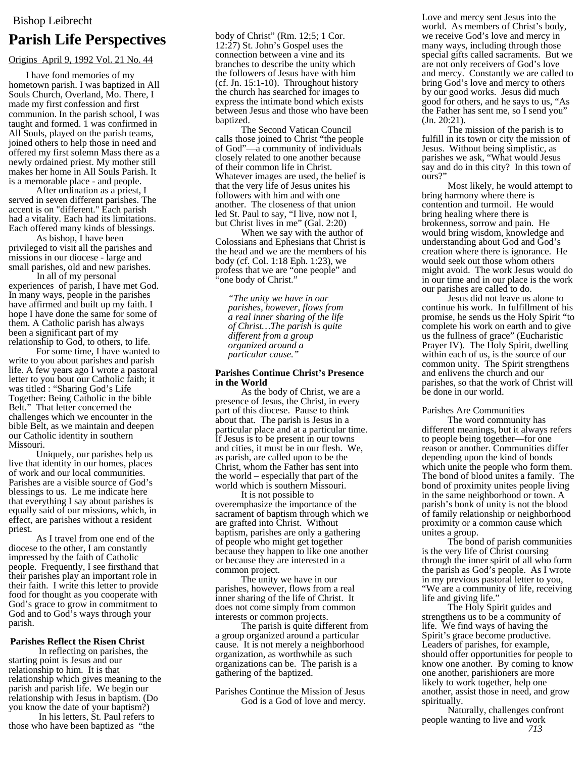# **Parish Life Perspectives**

## Origins April 9, 1992 Vol. 21 No. 44

I have fond memories of my hometown parish. I was baptized in All Souls Church, Overland, Mo. There, I made my first confession and first communion. In the parish school, I was taught and formed. 1 was confirmed in All Souls, played on the parish teams, joined others to help those in need and offered my first solemn Mass there as a newly ordained priest. My mother still makes her home in All Souls Parish. It is a memorable place - and people.

After ordination as a priest, I served in seven different parishes. The accent is on "different." Each parish had a vitality. Each had its limitations. Each offered many kinds of blessings.

As bishop, I have been privileged to visit all the parishes and missions in our diocese - large and small parishes, old and new parishes.

In all of my personal experiences of parish, I have met God. In many ways, people in the parishes have affirmed and built up my faith. I hope I have done the same for some of them. A Catholic parish has always been a significant part of my relationship to God, to others, to life.

For some time, I have wanted to write to you about parishes and parish life. A few years ago I wrote a pastoral letter to you bout our Catholic faith; it was titled : "Sharing God's Life Together: Being Catholic in the bible Belt." That letter concerned the challenges which we encounter in the bible Belt, as we maintain and deepen our Catholic identity in southern Missouri.

Uniquely, our parishes help us live that identity in our homes, places of work and our local communities. Parishes are a visible source of God's blessings to us. Le me indicate here that everything I say about parishes is equally said of our missions, which, in effect, are parishes without a resident priest.

As I travel from one end of the diocese to the other, I am constantly impressed by the faith of Catholic people. Frequently, I see firsthand that their parishes play an important role in their faith. I write this letter to provide food for thought as you cooperate with God's grace to grow in commitment to God and to God's ways through your parish.

### **Parishes Reflect the Risen Christ**

In reflecting on parishes, the starting point is Jesus and our relationship to him. It is that relationship which gives meaning to the parish and parish life. We begin our relationship with Jesus in baptism. (Do you know the date of your baptism?)

In his letters, St. Paul refers to those who have been baptized as "the body of Christ" (Rm. 12;5; 1 Cor. 12:27) St. John's Gospel uses the connection between a vine and its branches to describe the unity which the followers of Jesus have with him (cf. Jn. 15:1-10). Throughout history the church has searched for images to express the intimate bond which exists between Jesus and those who have been baptized.

The Second Vatican Council calls those joined to Christ "the people of God"—a community of individuals closely related to one another because of their common life in Christ. Whatever images are used, the belief is that the very life of Jesus unites his followers with him and with one another. The closeness of that union led St. Paul to say, "I live, now not I, but Christ lives in me" (Gal. 2:20)

When we say with the author of Colossians and Ephesians that Christ is the head and we are the members of his body (cf. Col. 1:18 Eph. 1:23), we profess that we are "one people" and "one body of Christ."

*"The unity we have in our parishes, however, flows from a real inner sharing of the life of Christ…The parish is quite different from a group organized around a particular cause."* 

### **Parishes Continue Christ's Presence in the World**

As the body of Christ, we are a presence of Jesus, the Christ, in every part of this diocese. Pause to think about that. The parish is Jesus in a particular place and at a particular time. If Jesus is to be present in our towns and cities, it must be in our flesh. We, as parish, are called upon to be the Christ, whom the Father has sent into the world – especially that part of the world which is southern Missouri.

It is not possible to overemphasize the importance of the sacrament of baptism through which we are grafted into Christ. Without baptism, parishes are only a gathering of people who might get together because they happen to like one another or because they are interested in a common project.

The unity we have in our parishes, however, flows from a real inner sharing of the life of Christ. It does not come simply from common interests or common projects.

The parish is quite different from a group organized around a particular cause. It is not merely a neighborhood organization, as worthwhile as such organizations can be. The parish is a gathering of the baptized.

Parishes Continue the Mission of Jesus God is a God of love and mercy. Love and mercy sent Jesus into the world. As members of Christ's body, we receive God's love and mercy in many ways, including through those special gifts called sacraments. But we are not only receivers of God's love and mercy. Constantly we are called to bring God's love and mercy to others by our good works. Jesus did much good for others, and he says to us, "As the Father has sent me, so I send you" (Jn. 20:21).

The mission of the parish is to fulfill in its town or city the mission of Jesus. Without being simplistic, as parishes we ask, "What would Jesus say and do in this city? In this town of ours?"

Most likely, he would attempt to bring harmony where there is contention and turmoil. He would bring healing where there is brokenness, sorrow and pain. He would bring wisdom, knowledge and understanding about God and God's creation where there is ignorance. He would seek out those whom others might avoid. The work Jesus would do in our time and in our place is the work our parishes are called to do.

Jesus did not leave us alone to continue his work. In fulfillment of his promise, he sends us the Holy Spirit "to complete his work on earth and to give us the fullness of grace" (Eucharistic Prayer IV). The Holy Spirit, dwelling within each of us, is the source of our common unity. The Spirit strengthens and enlivens the church and our parishes, so that the work of Christ will be done in our world.

Parishes Are Communities

The word community has different meanings, but it always refers to people being together—for one reason or another. Communities differ depending upon the kind of bonds which unite the people who form them. The bond of blood unites a family. The bond of proximity unites people living in the same neighborhood or town. A parish's bonk of unity is not the blood of family relationship or neighborhood proximity or a common cause which unites a group.

The bond of parish communities is the very life of Christ coursing through the inner spirit of all who form the parish as God's people. As I wrote in my previous pastoral letter to you, "We are a community of life, receiving life and giving life."

The Holy Spirit guides and strengthens us to be a community of life. We find ways of having the Spirit's grace become productive. Leaders of parishes, for example, should offer opportunities for people to know one another. By coming to know one another, parishioners are more likely to work together, help one another, assist those in need, and grow spiritually.

Naturally, challenges confront people wanting to live and work *713*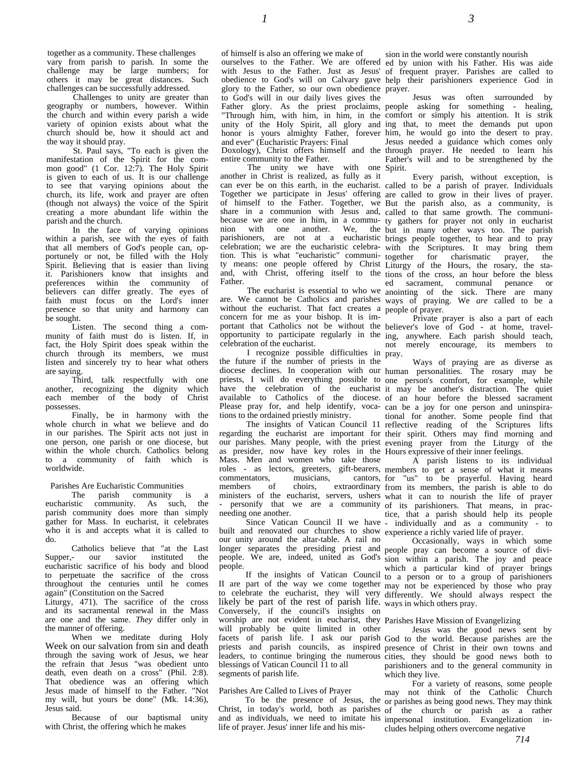together as a community. These challenges vary from parish to parish. In some the challenge may be large numbers; for others it may be great distances. Such challenges can be successfully addressed.

Challenges to unity are greater than geography or numbers, however. Within the church and within every parish a wide variety of opinion exists about what the church should be, how it should act and the way it should pray.

St. Paul says, "To each is given the manifestation of the Spirit for the common good" (1 Cor. 12:7). The Holy Spirit is given to each of us. It is our challenge to see that varying opinions about the church, its life, work and prayer are often (though not always) the voice of the Spirit creating a more abundant life within the parish and the church.

In the face of varying opinions within a parish, see with the eyes of faith that all members of God's people can, opportunely or not, be filled with the Holy Spirit. Believing that is easier than living it. Parishioners know that insights and preferences within the community of believers can differ greatly. The eyes of faith must focus on the Lord's inner presence so that unity and harmony can be sought.

Listen. The second thing a community of faith must do is listen. If, in fact, the Holy Spirit does speak within the church through its members, we must listen and sincerely try to hear what others are saying.

Third, talk respectfully with one another, recognizing the dignity which each member of the body of Christ possesses.

Finally, be in harmony with the whole church in what we believe and do in our parishes. The Spirit acts not just in one person, one parish or one diocese, but within the whole church. Catholics belong to a community of faith which is worldwide.

# Parishes Are Eucharistic Communities<br>The parish community is

The parish community is a eucharistic community. As such, the parish community does more than simply gather for Mass. In eucharist, it celebrates who it is and accepts what it is called to do.

Catholics believe that "at the Last<br>Supper,- our savior instituted the our savior instituted the eucharistic sacrifice of his body and blood to perpetuate the sacrifice of the cross throughout the centuries until he comes again" (Constitution on the Sacred Liturgy, 471). The sacrifice of the cross and its sacramental renewal in the Mass are one and the same. *They* differ only in the manner of offering.

When we meditate during Holy Week on our salvation from sin and death through the saving work of Jesus, we hear the refrain that Jesus "was obedient unto death, even death on a cross" (Phil. 2:8). That obedience was an offering which Jesus made of himself to the Father. "Not my will, but yours be done" (Mk. 14:36), Jesus said.

Because of our baptismal unity with Christ, the offering which he makes

of himself is also an offering we make of ourselves to the Father. We are offered ed by union with his Father. His was aide glory to the Father, so our own obedience prayer. to God's will in our daily lives gives the Father glory. As the priest proclaims, "Through him, with him, in him, in the and ever" (Eucharistic Prayers: Final Doxology), Christ offers himself and the entire community to the Father.

The unity we have with one Spirit. another in Christ is realized, as fully as it nion with one another. We, the parishioners, are not at a eucharistic celebration; we are the eucharistic celebration. This is what "eucharistic" communi-Father.

without the eucharist. That fact creates a people of prayer. concern for me as your bishop. It is imcelebration of the eucharist.

I recognize possible difficulties in pray. the future if the number of priests in the have the celebration of the eucharist available to Catholics of the diocese. tions to the ordained priestly ministry.

as presider, now have key roles in the Hours expressive of their inner feelings. Mass. Men and women who take those roles - as lectors, greeters, gift-bearers, commentators, musicians, cantors, members of choirs, extraordinary needing one another.

built and renovated our churches to show experience a richly varied life of prayer. our unity around the altar-table. A rail no people.

likely be part of the rest of parish life. likely be part of the rest of parish life. ways in which others pray.<br>Conversely, if the council's insights on worship are not evident in eucharist, they Parishes Have Mission of Evangelizing will probably be quite limited in other blessings of Vatican Council 11 to all segments of parish life.

### Parishes Are Called to Lives of Prayer

life of prayer. Jesus' inner life and his mis-

sion in the world were constantly nourish

with Jesus to the Father. Just as Jesus' of frequent prayer. Parishes are called to obedience to God's will on Calvary gave help their parishioners experience God in

unity of the Holy Spirit, all glory and ing that, to meet the demands put upon honor is yours almighty Father, forever him, he would go into the desert to pray. Jesus was often surrounded by people asking for something - healing, comfort or simply his attention. It is strik Jesus needed a guidance which comes only through prayer. He needed to learn his Father's will and to be strengthened by the

can ever be on this earth, in the eucharist. called to be a parish of prayer. Individuals Together we participate in Jesus' offering are called to grow in their lives of prayer. of himself to the Father. Together, we But the parish also, as a community, is share in a communion with Jesus and, called to that same growth. The communibecause we are one in him, in a commu-ty gathers for prayer not only in eucharist ty means: one people offered by Christ Liturgy of the Hours, the rosary, the staand, with Christ, offering itself to the tions of the cross, an hour before the bless The eucharist is essential to who we anointing of the sick. There are many are. We cannot be Catholics and parishes ways of praying. We *are* called to be a Every parish, without exception, is but in many other ways too. The parish brings people together, to hear and to pray with the Scriptures. It may bring them together for charismatic prayer, the ed sacrament, communal penance or

portant that Catholics not be without the believer's love of God - at home, travelopportunity to participate regularly in the ing, anywhere. Each parish should teach, Private prayer is also a part of each not merely encourage, its members to

diocese declines. In cooperation with our human personalities. The rosary may be priests, I will do everything possible to one person's comfort, for example, while Please pray for, and help identify, voca-can be a joy for one person and uninspira-The insights of Vatican Council 11 reflective reading of the Scriptures lifts regarding the eucharist are important for their spirit. Others may find morning and our parishes. Many people, with the priest evening prayer from the Liturgy of the Ways of praying are as diverse as it may be another's distraction. The quiet of an hour before the blessed sacrament tional for another. Some people find that

ministers of the eucharist, servers, ushers what it can to nourish the life of prayer - personify that we are a community of its parishioners. That means, in prac-Since Vatican Council II we have - individually and as a community - to A parish listens to its individual members to get a sense of what it means for "us" to be prayerful. Having heard from its members, the parish is able to do tice, that a parish should help its people

longer separates the presiding priest and people pray can become a source of divipeople. We are, indeed, united as God's sion within a parish. The joy and peace If the insights of Vatican Council to a person or to a group of parishioners II are part of the way we come together may not be experienced by those who pray to celebrate the eucharist, they will very differently. We should always respect the Occasionally, ways in which some which a particular kind of prayer brings

facets of parish life. I ask our parish God to the world. Because parishes are the priests and parish councils, as inspired presence of Christ in their own towns and leaders, to continue bringing the numerous cities, they should be good news both to Jesus was the good news sent by parishioners and to the general community in which they live.

To be the presence of Jesus, the or parishes as being good news. They may think Christ, in today's world, both as parishes of the church or parish as a rather and as individuals, we need to imitate his impersonal institution. Evangelization in-For a variety of reasons, some people may not think of the Catholic Church cludes helping others overcome negative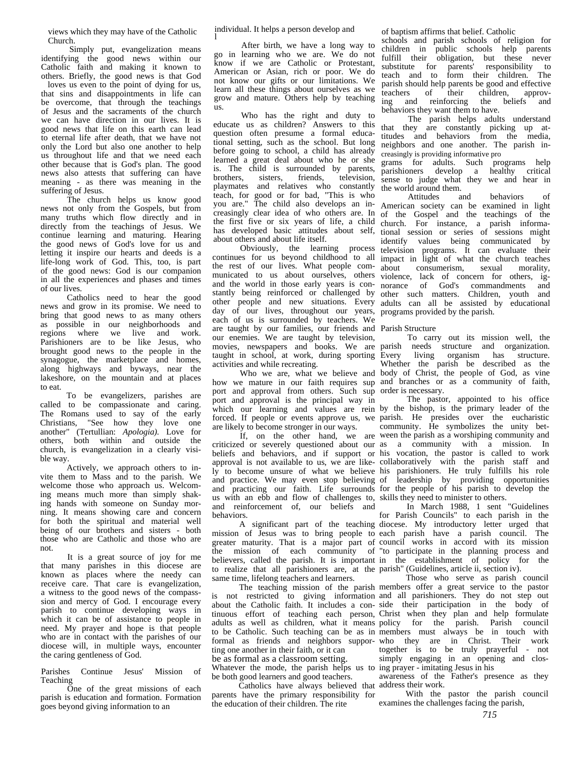views which they may have of the Catholic Church.

Simply put, evangelization means identifying the good news within our Catholic faith and making it known to others. Briefly, the good news is that God

 loves us even to the point of dying for us, that sins and disappointments in life can be overcome, that through the teachings of Jesus and the sacraments of the church we can have direction in our lives. It is good news that life on this earth can lead to eternal life after death, that we have not only the Lord but also one another to help us throughout life and that we need each other because that is God's plan. The good news also attests that suffering can have meaning - as there was meaning in the suffering of Jesus.

The church helps us know good news not only from the Gospels, but from many truths which flow directly and in directly from the teachings of Jesus. We continue learning and maturing. Hearing the good news of God's love for us and letting it inspire our hearts and deeds is a life-long work of God. This, too, is part of the good news: God is our companion in all the experiences and phases and times of our lives.

Catholics need to hear the good news and grow in its promise. We need to bring that good news to as many others as possible in our neighborhoods and regions where we live and work. Parishioners are to be like Jesus, who brought good news to the people in the synagogue, the marketplace and homes, along highways and byways, near the lakeshore, on the mountain and at places to eat.

To be evangelizers, parishes are called to be compassionate and caring. The Romans used to say of the early Christians, "See how they love one another" (Tertullian: *Apologia).* Love for others, both within and outside the church, is evangelization in a clearly visible way.

Actively, we approach others to invite them to Mass and to the parish. We welcome those who approach us. Welcoming means much more than simply shaking hands with someone on Sunday morning. It means showing care and concern for both the spiritual and material well being of our brothers and sisters - both those who are Catholic and those who are not.

It is a great source of joy for me that many parishes in this diocese are known as places where the needy can receive care. That care is evangelization, a witness to the good news of the compasssion and mercy of God. I encourage every parish to continue developing ways in which it can be of assistance to people in need. My prayer and hope is that people who are in contact with the parishes of our diocese will, in multiple ways, encounter the caring gentleness of God.

Parishes Continue Jesus' Mission of Teaching

One of the great missions of each parish is education and formation. Formation goes beyond giving information to an

individual. It helps a person develop and

l After birth, we have a long way to go in learning who we are. We do not know if we are Catholic or Protestant, American or Asian, rich or poor. We do not know our gifts or our limitations. We learn all these things about ourselves as we grow and mature. Others help by teaching us.

Who has the right and duty to educate us as children? Answers to this question often presume a formal educational setting, such as the school. But long before going to school, a child has already learned a great deal about who he or she learned a great deal about who he or she grams for adults. Such programs help is. The child is surrounded by parents, parishioners develop a healthy critical brothers, sisters, friends, television, teach, for good or for bad, "This is who the first five or six years of life, a child about others and about life itself.

the rest of our lives. What people comday of our lives, throughout our years, programs provided by the parish. each of us is surrounded by teachers. We are taught by our families, our friends and Parish Structure our enemies. We are taught by television, activities and while recreating.

port and approval from others. Such sup order is necessary. port and approval is the principal way in are likely to become stronger in our ways.

ly to become unsure of what we believe and practice. We may even stop believing us with an ebb and flow of challenges to, skills they need to minister to others. and reinforcement of, our beliefs and behaviors.

to realize that all parishioners are, at the parish" (Guidelines, article ii, section iv). same time, lifelong teachers and learners.

ting one another in their faith, or it can be as formal as a classroom setting.

Whatever the mode, the parish helps us to ing prayer - imitating Jesus in his be both good learners and good teachers.

Catholics have always believed that address their work. parents have the primary responsibility for the education of their children. The rite

of baptism affirms that belief. Catholic

schools and parish schools of religion for children in public schools help parents fulfill their obligation, but these never substitute for parents' responsibility to teach and to form their children. The parish should help parents be good and effective teachers of their children, approving and reinforcing the beliefs and behaviors they want them to have.

The parish helps adults understand that they are constantly picking up attitudes and behaviors from the media, neighbors and one another. The parish increasingly is providing informative pro

brothers, sisters, friends, television, sense to judge what they we and hear in playmates and relatives who constantly the world around them. parishioners develop a healthy critical the world around them.

teach, for good or for bad, "This is who here all also develops an in-<br>the child also develops an in-American society can be examined in light creasingly clear idea of who others are. In of the Gospel and the teachings of the the first five or six years of life, a child church. For instance, a parish informa-<br>has developed basic attitudes about self, tional session or series of sessions might Obviously, the learning process television programs. It can evaluate their continues for us beyond childhood to all impact in light of what the church teaches municated to us about ourselves, others violence, lack of concern for others, igand the world in those early years is con- norance of God's commandments and stantly being reinforced or challenged by other such matters. Children, youth and other people and new situations. Every adults can all be assisted by educational American society can be examined in light tional session or series of sessions might identify values being communicated by about consumerism, sexual morality,

movies, newspapers and books. We are parish needs structure and organization. taught in school, at work, during sporting Every living organism has structure. Who we are, what we believe and body of Christ, the people of God, as vine how we mature in our faith requires sup and branches or as a community of faith, To carry out its mission well, the Whether the parish be described as the

which our learning and values are rein by the bishop, is the primary leader of the forced. If people or events approve us, we parish. He presides over the eucharistic If, on the other hand, we are ween the parish as a worshiping community and criticized or severely questioned about our as a community with a mission. In beliefs and behaviors, and if support or his vocation, the pastor is called to work approval is not available to us, we are like-collaboratively with the parish staff and and practicing our faith. Life surrounds for the people of his parish to develop the The pastor, appointed to his office community. He symbolizes the unity bethis parishioners. He truly fulfills his role of leadership by providing opportunities

A significant part of the teaching diocese. My introductory letter urged that mission of Jesus was to bring people to each parish have a parish council. The greater maturity. That is a major part of council works in accord with its mission the mission of each community of "to participate in the planning process and believers, called the parish. It is important in the establishment of policy for the In March 1988, 1 sent "Guidelines for Parish Councils" to each parish in the

The teaching mission of the parish members offer a great service to the pastor is not restricted to giving information and all parishioners. They do not step out about the Catholic faith. It includes a con-side their participation in the body of tinuous effort of teaching each person, Christ when they plan and help formulate adults as well as children, what it means policy for the parish. Parish council to be Catholic. Such teaching can be as in members must always be in touch with formal as friends and neighbors suppor-who they are in Christ. Their work Those who serve as parish council together is to be truly prayerful - not simply engaging in an opening and clos-

awareness of the Father's presence as they

With the pastor the parish council examines the challenges facing the parish,